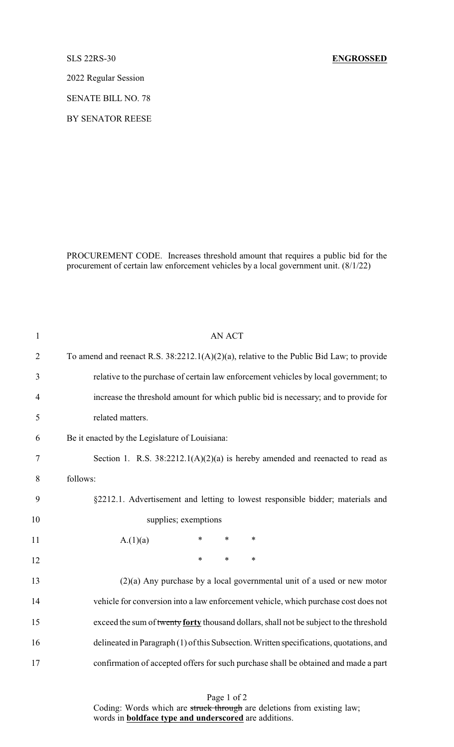2022 Regular Session

SENATE BILL NO. 78

BY SENATOR REESE

PROCUREMENT CODE. Increases threshold amount that requires a public bid for the procurement of certain law enforcement vehicles by a local government unit. (8/1/22)

| <b>AN ACT</b>                                                                               |
|---------------------------------------------------------------------------------------------|
| To amend and reenact R.S. $38:2212.1(A)(2)(a)$ , relative to the Public Bid Law; to provide |
| relative to the purchase of certain law enforcement vehicles by local government; to        |
| increase the threshold amount for which public bid is necessary; and to provide for         |
| related matters.                                                                            |
| Be it enacted by the Legislature of Louisiana:                                              |
| Section 1. R.S. $38:2212.1(A)(2)(a)$ is hereby amended and reenacted to read as             |
| follows:                                                                                    |
| §2212.1. Advertisement and letting to lowest responsible bidder; materials and              |
| supplies; exemptions                                                                        |
| $\ast$<br>$\ast$<br>$\ast$<br>A.(1)(a)                                                      |
| $\ast$<br>*<br>$\ast$                                                                       |
| $(2)(a)$ Any purchase by a local governmental unit of a used or new motor                   |
| vehicle for conversion into a law enforcement vehicle, which purchase cost does not         |
| exceed the sum of twenty forty thousand dollars, shall not be subject to the threshold      |
| delineated in Paragraph (1) of this Subsection. Written specifications, quotations, and     |
| confirmation of accepted offers for such purchase shall be obtained and made a part         |
|                                                                                             |

Page 1 of 2 Coding: Words which are struck through are deletions from existing law; words in **boldface type and underscored** are additions.